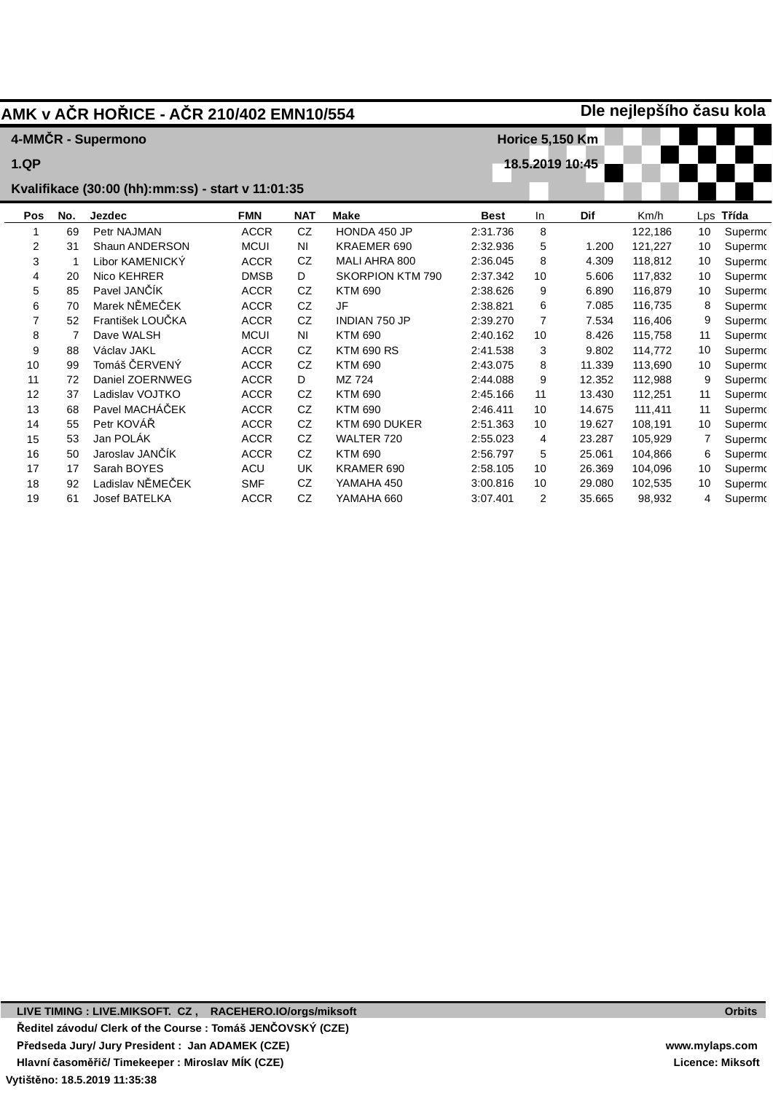|                                                   | Dle nejlepšího času kola<br>AMK v AČR HOŘICE - AČR 210/402 EMN10/554 |                      |                        |            |                         |             |    |            |         |    |           |
|---------------------------------------------------|----------------------------------------------------------------------|----------------------|------------------------|------------|-------------------------|-------------|----|------------|---------|----|-----------|
|                                                   |                                                                      | 4-MMČR - Supermono   | <b>Horice 5,150 Km</b> |            |                         |             |    |            |         |    |           |
| <b>1.QP</b>                                       |                                                                      |                      |                        |            | 18.5.2019 10:45         |             |    |            |         |    |           |
| Kvalifikace (30:00 (hh):mm:ss) - start v 11:01:35 |                                                                      |                      |                        |            |                         |             |    |            |         |    |           |
| Pos                                               | No.                                                                  | Jezdec               | <b>FMN</b>             | <b>NAT</b> | <b>Make</b>             | <b>Best</b> | In | <b>Dif</b> | Km/h    |    | Lps Třída |
| 1                                                 | 69                                                                   | Petr NAJMAN          | <b>ACCR</b>            | CZ         | HONDA 450 JP            | 2:31.736    | 8  |            | 122,186 | 10 | Supermo   |
| 2                                                 | 31                                                                   | Shaun ANDERSON       | <b>MCUI</b>            | ΝI         | KRAEMER 690             | 2:32.936    | 5  | 1.200      | 121,227 | 10 | Supermo   |
| 3                                                 |                                                                      | Libor KAMENICKÝ      | <b>ACCR</b>            | CZ         | MALI AHRA 800           | 2:36.045    | 8  | 4.309      | 118,812 | 10 | Supermo   |
| 4                                                 | 20                                                                   | Nico KEHRER          | <b>DMSB</b>            | D          | <b>SKORPION KTM 790</b> | 2:37.342    | 10 | 5.606      | 117,832 | 10 | Supermo   |
| 5                                                 | 85                                                                   | Pavel JANČÍK         | <b>ACCR</b>            | CZ         | <b>KTM 690</b>          | 2:38.626    | 9  | 6.890      | 116.879 | 10 | Supermo   |
| 6                                                 | 70                                                                   | Marek NĚMEČEK        | <b>ACCR</b>            | CZ         | <b>JF</b>               | 2:38.821    | 6  | 7.085      | 116,735 | 8  | Supermo   |
| $\overline{7}$                                    | 52                                                                   | František LOUČKA     | <b>ACCR</b>            | <b>CZ</b>  | <b>INDIAN 750 JP</b>    | 2:39.270    | 7  | 7.534      | 116,406 | 9  | Supermo   |
| 8                                                 |                                                                      | Dave WALSH           | <b>MCUI</b>            | <b>NI</b>  | <b>KTM 690</b>          | 2:40.162    | 10 | 8.426      | 115,758 | 11 | Supermo   |
| 9                                                 | 88                                                                   | Václav JAKL          | <b>ACCR</b>            | CZ.        | <b>KTM 690 RS</b>       | 2:41.538    | 3  | 9.802      | 114,772 | 10 | Supermo   |
| 10                                                | 99                                                                   | Tomáš ČERVENÝ        | <b>ACCR</b>            | CZ         | <b>KTM 690</b>          | 2:43.075    | 8  | 11.339     | 113,690 | 10 | Supermo   |
| 11                                                | 72                                                                   | Daniel ZOERNWEG      | <b>ACCR</b>            | D          | MZ 724                  | 2:44.088    | 9  | 12.352     | 112,988 | 9  | Supermo   |
| 12                                                | 37                                                                   | Ladislav VOJTKO      | <b>ACCR</b>            | CZ.        | <b>KTM 690</b>          | 2:45.166    | 11 | 13.430     | 112,251 | 11 | Supermo   |
| 13                                                | 68                                                                   | Pavel MACHÁČEK       | <b>ACCR</b>            | CZ         | <b>KTM 690</b>          | 2:46.411    | 10 | 14.675     | 111,411 | 11 | Supermo   |
| 14                                                | 55                                                                   | Petr KOVÁŘ           | <b>ACCR</b>            | <b>CZ</b>  | KTM 690 DUKER           | 2:51.363    | 10 | 19.627     | 108,191 | 10 | Supermo   |
| 15                                                | 53                                                                   | Jan POLÁK            | <b>ACCR</b>            | CZ         | WALTER 720              | 2:55.023    | 4  | 23.287     | 105,929 |    | Supermo   |
| 16                                                | 50                                                                   | Jaroslav JANČÍK      | <b>ACCR</b>            | <b>CZ</b>  | <b>KTM 690</b>          | 2:56.797    | 5  | 25.061     | 104,866 | 6  | Supermo   |
| 17                                                | 17                                                                   | Sarah BOYES          | <b>ACU</b>             | UK         | KRAMER 690              | 2:58.105    | 10 | 26.369     | 104,096 | 10 | Supermo   |
| 18                                                | 92                                                                   | Ladislav NĚMEČEK     | <b>SMF</b>             | CZ         | YAMAHA 450              | 3:00.816    | 10 | 29.080     | 102,535 | 10 | Supermo   |
| 19                                                | 61                                                                   | <b>Josef BATELKA</b> | <b>ACCR</b>            | CZ         | YAMAHA 660              | 3:07.401    | 2  | 35.665     | 98,932  | 4  | Supermo   |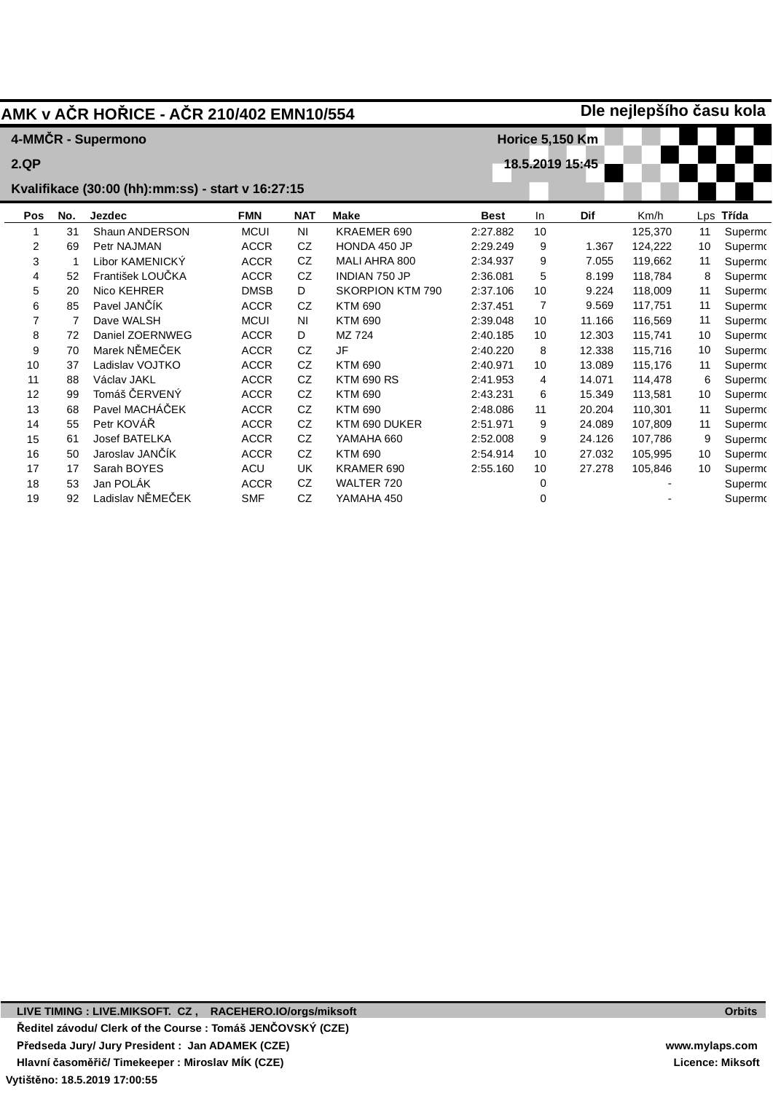| Dle nejlepšího času kola<br>AMK v AČR HOŘICE - AČR 210/402 EMN10/554 |     |                    |                        |            |                         |             |    |        |         |    |           |
|----------------------------------------------------------------------|-----|--------------------|------------------------|------------|-------------------------|-------------|----|--------|---------|----|-----------|
|                                                                      |     | 4-MMČR - Supermono | <b>Horice 5,150 Km</b> |            |                         |             |    |        |         |    |           |
| 2.QP                                                                 |     |                    |                        |            | 18.5.2019 15:45         |             |    |        |         |    |           |
| Kvalifikace (30:00 (hh):mm:ss) - start v 16:27:15                    |     |                    |                        |            |                         |             |    |        |         |    |           |
| Pos                                                                  | No. | Jezdec             | <b>FMN</b>             | <b>NAT</b> | <b>Make</b>             | <b>Best</b> | In | Dif    | Km/h    |    | Lps Třída |
| 1                                                                    | 31  | Shaun ANDERSON     | <b>MCUI</b>            | ΝI         | KRAEMER 690             | 2:27.882    | 10 |        | 125,370 | 11 | Supermo   |
| 2                                                                    | 69  | Petr NAJMAN        | <b>ACCR</b>            | CZ         | HONDA 450 JP            | 2:29.249    | 9  | 1.367  | 124,222 | 10 | Supermo   |
| 3                                                                    |     | Libor KAMENICKÝ    | <b>ACCR</b>            | CZ         | MALI AHRA 800           | 2:34.937    | 9  | 7.055  | 119,662 | 11 | Supermo   |
| 4                                                                    | 52  | František LOUČKA   | <b>ACCR</b>            | CZ         | INDIAN 750 JP           | 2:36.081    | 5  | 8.199  | 118,784 | 8  | Supermo   |
| 5                                                                    | 20  | Nico KEHRER        | <b>DMSB</b>            | D          | <b>SKORPION KTM 790</b> | 2:37.106    | 10 | 9.224  | 118,009 | 11 | Supermo   |
| 6                                                                    | 85  | Pavel JANČÍK       | <b>ACCR</b>            | CZ         | <b>KTM 690</b>          | 2:37.451    | 7  | 9.569  | 117,751 | 11 | Supermo   |
| $\overline{7}$                                                       | 7   | Dave WALSH         | <b>MCUI</b>            | ΝI         | <b>KTM 690</b>          | 2:39.048    | 10 | 11.166 | 116,569 | 11 | Supermo   |
| 8                                                                    | 72  | Daniel ZOERNWEG    | <b>ACCR</b>            | D          | MZ 724                  | 2:40.185    | 10 | 12.303 | 115,741 | 10 | Supermo   |
| 9                                                                    | 70  | Marek NĚMEČEK      | <b>ACCR</b>            | CZ         | <b>JF</b>               | 2:40.220    | 8  | 12.338 | 115,716 | 10 | Supermo   |
| 10                                                                   | 37  | Ladislav VOJTKO    | <b>ACCR</b>            | <b>CZ</b>  | <b>KTM 690</b>          | 2:40.971    | 10 | 13.089 | 115,176 | 11 | Supermo   |
| 11                                                                   | 88  | Václav JAKL        | <b>ACCR</b>            | <b>CZ</b>  | <b>KTM 690 RS</b>       | 2:41.953    | 4  | 14.071 | 114,478 | 6  | Supermo   |
| 12                                                                   | 99  | Tomáš ČERVENÝ      | <b>ACCR</b>            | CZ         | <b>KTM 690</b>          | 2:43.231    | 6  | 15.349 | 113,581 | 10 | Supermo   |
| 13                                                                   | 68  | Pavel MACHÁČEK     | <b>ACCR</b>            | CZ         | <b>KTM 690</b>          | 2:48.086    | 11 | 20.204 | 110,301 | 11 | Supermo   |
| 14                                                                   | 55  | Petr KOVÁŘ         | <b>ACCR</b>            | <b>CZ</b>  | KTM 690 DUKER           | 2:51.971    | 9  | 24.089 | 107,809 | 11 | Supermo   |
| 15                                                                   | 61  | Josef BATELKA      | <b>ACCR</b>            | CZ.        | YAMAHA 660              | 2:52.008    | 9  | 24.126 | 107,786 | 9  | Supermo   |
| 16                                                                   | 50  | Jaroslav JANČÍK    | <b>ACCR</b>            | CZ         | <b>KTM 690</b>          | 2:54.914    | 10 | 27.032 | 105,995 | 10 | Supermo   |
| 17                                                                   | 17  | Sarah BOYES        | ACU                    | UK         | KRAMER 690              | 2:55.160    | 10 | 27.278 | 105,846 | 10 | Supermo   |
| 18                                                                   | 53  | Jan POLÁK          | <b>ACCR</b>            | CZ         | WALTER 720              |             | 0  |        |         |    | Supermo   |
| 19                                                                   | 92  | Ladislav NĚMEČEK   | <b>SMF</b>             | CZ         | YAMAHA 450              |             | 0  |        |         |    | Supermo   |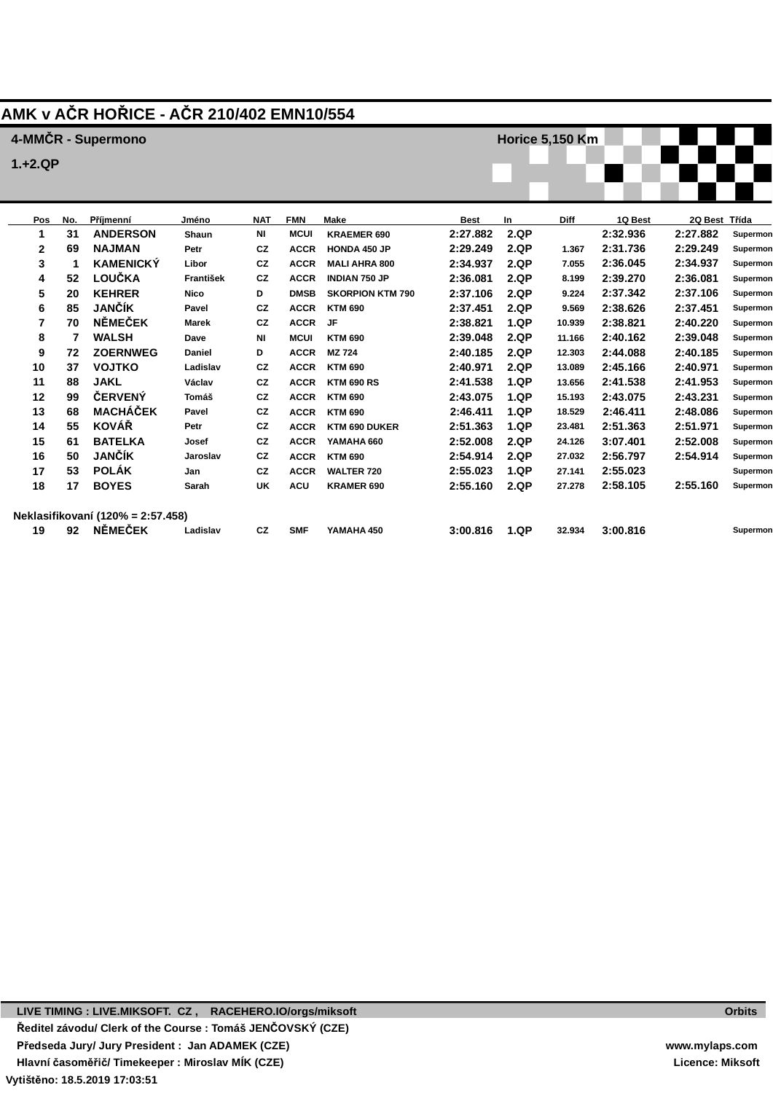## **AMK v AČR HOŘICE - AČR 210/402 EMN10/554**

**Dave Daniel Ladislav Václav Tomáš Pavel Petr Josef Jaroslav Jan Sarah**

**NI D CZ CZ CZ CZ CZ CZ CZ CZ UK**

**MCUI KTM 690 ACCR MZ 724 ACCR KTM 690 ACCR KTM 690 RS ACCR KTM 690 ACCR KTM 690 ACCR KTM 690 DUKER ACCR YAMAHA 660 ACCR KTM 690 ACCR WALTER 720**

**CZ**

**ACU**

**KRAMER 690**

**YAMAHA 450**

**SMF**

**Ladislav**

|              |     | 4-MMCR - Supermono |              |            |             |                         |             | Horice 5,150 Km |             |          |               |          |
|--------------|-----|--------------------|--------------|------------|-------------|-------------------------|-------------|-----------------|-------------|----------|---------------|----------|
| $1. + 2. QP$ |     |                    |              |            |             |                         |             |                 |             |          |               |          |
|              |     |                    |              |            |             |                         |             |                 |             |          |               |          |
|              |     |                    |              |            |             |                         |             |                 |             |          |               |          |
| Pos          | No. | Příjmenní          | Jméno        | <b>NAT</b> | <b>FMN</b>  | Make                    | <b>Best</b> | <b>In</b>       | <b>Diff</b> | 1Q Best  | 2Q Best Třída |          |
|              | 31  | <b>ANDERSON</b>    | Shaun        | ΝI         | <b>MCUI</b> | <b>KRAEMER 690</b>      | 2:27.882    | 2.QP            |             | 2:32.936 | 2:27.882      | Supermon |
| $\mathbf{2}$ | 69  | <b>NAJMAN</b>      | Petr         | <b>CZ</b>  | <b>ACCR</b> | <b>HONDA 450 JP</b>     | 2:29.249    | 2.QP            | 1.367       | 2:31.736 | 2:29.249      | Supermon |
| 3            |     | <b>KAMENICKÝ</b>   | Libor        | <b>CZ</b>  | <b>ACCR</b> | <b>MALI AHRA 800</b>    | 2:34.937    | 2.QP            | 7.055       | 2:36.045 | 2:34.937      | Supermon |
| 4            | 52  | LOUČKA             | František    | <b>CZ</b>  | <b>ACCR</b> | <b>INDIAN 750 JP</b>    | 2:36.081    | 2.QP            | 8.199       | 2:39.270 | 2:36.081      | Supermon |
| 5            | 20  | <b>KEHRER</b>      | Nico         | D          | <b>DMSB</b> | <b>SKORPION KTM 790</b> | 2:37.106    | 2.QP            | 9.224       | 2:37.342 | 2:37.106      | Supermon |
| 6            | 85  | <b>JANČÍK</b>      | Pavel        | <b>CZ</b>  | <b>ACCR</b> | <b>KTM 690</b>          | 2:37.451    | 2.QP            | 9.569       | 2:38.626 | 2:37.451      | Supermon |
| 7            | 70  | <b>NĚMEČEK</b>     | <b>Marek</b> | <b>CZ</b>  | <b>ACCR</b> | JF                      | 2:38.821    | 1.QP            | 10.939      | 2:38.821 | 2:40.220      | Supermon |
| 8            |     | <b>WALSH</b>       | Dave         | NI         | <b>MCUI</b> | <b>KTM 690</b>          | 2:39.048    | 2.QP            | 11.166      | 2:40.162 | 2:39.048      | Supermon |

**2:39.048 2.QP 2:40.185 2.QP 2:40.971 2.QP 2:41.538 1.QP 2:43.075 1.QP 2:46.411 1.QP 2:51.363 1.QP 2:52.008 2.QP 2:54.914 2.QP 2:55.023 1.QP 2:55.160 2.QP**

**18.529 23.481 24.126 27.032 27.141 27.278**

**32.934**

**12.303 2:44.088 13.089 2:45.166 13.656 2:41.538 15.193 2:43.075**

> **2:46.411 2:51.363 3:07.401 2:56.797 2:55.023 2:58.105**

**2:39.048 2:40.185 2:40.971 2:41.953 2:43.231 2:48.086 2:51.971 2:52.008 2:54.914**

**Supermon Supermon Supermon Supermon Supermon Supermon Supermon Supermon Supermon Supermon Supermon** 

**Supermon** 

**2:55.160**

**3:00.816**

**3:00.816 1.QP**

|    |    | Neklasifikovaní (120% = 2:57.458) |   |
|----|----|-----------------------------------|---|
| 19 | 92 | <b>NĚMEČEK</b>                    | Ŀ |

**7 WALSH 72 ZOERNWEG 37 VOJTKO 88 JAKL 99 ČERVENÝ 68 MACHÁČEK 55 KOVÁŘ 61 BATELKA 50 JANČÍK 53 POLÁK 17 BOYES**

**LIVE TIMING : LIVE.MIKSOFT. CZ , RACEHERO.IO/orgs/miksoft Ředitel závodu/ Clerk of the Course : Tomáš JENČOVSKÝ (CZE) Předseda Jury/ Jury President : Jan ADAMEK (CZE) Hlavní časoměřič/ Timekeeper : Miroslav MÍK (CZE)**

**Vytištěno: 18.5.2019 17:03:51**

**Orbits**